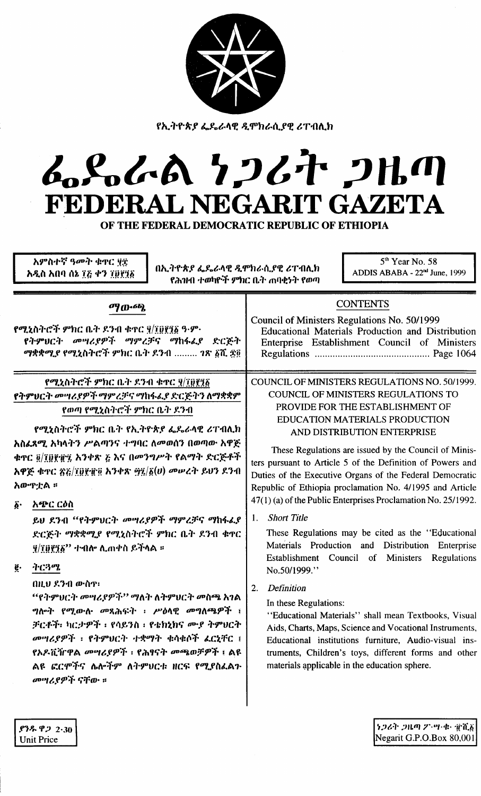| <u>የኢትዮጵያ ፌዴራላዊ ዲሞክራሲያዊ ሪፐብሊክ</u><br>そうぐん クンムヤ フルの<br>FEDERAL NEGARIT GAZETA<br>OF THE FEDERAL DEMOCRATIC REPUBLIC OF ETHIOPIA<br>አምስተኛ ዓመት ቁጥር ፶፰<br>5 <sup>th</sup> Year No. 58<br>በኢትዮጵያ ፌዴራላዊ ዲሞክራሲያዊ ሪፐብሊክ<br>ADDIS ABABA - 22 <sup>nd</sup> June, 1999<br>አዲስ አበባ ሰኔ ፲፭ ቀን ፲፱፻፺፩<br>የሕዝብ ተወካዮች ምክር ቤት ጠባቂነት የወጣ                                                                                                                                                                                                                                                                                                                                                                                                                  |                                                                                                                                                                                                                                                                                                                                                                                                                                                                                                                                                                                                                                                                                                                                                                                                                                                                                                                                                                                                                                                                    |
|----------------------------------------------------------------------------------------------------------------------------------------------------------------------------------------------------------------------------------------------------------------------------------------------------------------------------------------------------------------------------------------------------------------------------------------------------------------------------------------------------------------------------------------------------------------------------------------------------------------------------------------------------------------------------------------------------------------------------------------|--------------------------------------------------------------------------------------------------------------------------------------------------------------------------------------------------------------------------------------------------------------------------------------------------------------------------------------------------------------------------------------------------------------------------------------------------------------------------------------------------------------------------------------------------------------------------------------------------------------------------------------------------------------------------------------------------------------------------------------------------------------------------------------------------------------------------------------------------------------------------------------------------------------------------------------------------------------------------------------------------------------------------------------------------------------------|
| ማውጫ<br>የሚኒስትሮች ምክር ቤት ደንብ ቁተር ፶/፲፱፻፺፩ ዓ.ም·<br>የትምህርት መሣሪያዎች ማምረቻና ማከፋፌያ ድርጅት<br>ማቋቋሚያ የሚኒስትሮች ምክር ቤት ደንብ  ገጽ ፩ሺ ጅ፬                                                                                                                                                                                                                                                                                                                                                                                                                                                                                                                                                                                                                     | <b>CONTENTS</b><br>Council of Ministers Regulations No. 50/1999<br>Educational Materials Production and Distribution<br>Enterprise Establishment Council of Ministers                                                                                                                                                                                                                                                                                                                                                                                                                                                                                                                                                                                                                                                                                                                                                                                                                                                                                              |
| የሚኒስትሮች ምክር ቤት ዶንብ ቁተር ያ/፲፬፻፺፩<br>የትምህርት መግሪያዎች ማምረቻና ማከፋፌያ ድርጅትን ለማቋቋም<br>የወጣ የሚኒስትሮች ምክር ቤት ደንብ<br>የሚኒስትሮች ምክር ቤት የኢትዮጵያ ፌዴራላዊ ሪፐብሊክ<br>አስፌጻሚ አካላትን ሥልጣንና ተግባር ለመወሰን በወጣው አዋጅ<br>ቁተር ፬/፲፬፻፹፺ አንቀጽ ፩ እና በመንግሥት የልማት ድርጅቶች<br>አዋጅ ቁጥር ጽሯ/፲፱፻፹፬ አንቀጽ ፵፯/፩(ሀ) መሠረት ይህን ደንብ<br>አውጥቷል ፡፡<br>አጭር ርዕስ<br>$\boldsymbol{\delta}$ .<br>ይህ ደንብ "የትምህርት መሣሪያዎች ማምረቻና ማከፋፌያ<br>ድርጅት ማቋቋሚያ የሚኒስትሮች ምክር ቤት ደንብ ቁዋር<br>$\frac{q}{q}$ ፲፱፻፺፩'' ተብሎ ሊጠቀስ ይችላል ።<br>ትርጓሜ<br>ë.<br>በዚህ ደንብ ውስዋ፡<br>''የትምህርት መሣሪያዎች'' ማለት ለትምህርት መስጫ አገል<br><i>ግ</i> ሎት የሚወሉ መጻሕፍት ፡ ሥዕላዊ መግለጫዎች ፣<br>ቻርቶች፡ ካርታዎች ፡ የሳይንስ ፡ የቴክኒክና ሙያ ትምሀርት<br>መሣሪያዎች ፡ የትምህርት ተቋማት ቁሳቁሶች ፌርኒቸር ፤<br>የአዶቪዥዋል መሣሪያዎች ፡ የሕፃናት መጫወቻዎች ፣ ልዩ<br>ልዩ ፎርሞችና ሌሎችም ለትምሀርቱ ዘርፍ የሚያስፌልጉ<br>መሣሪያዎች ናቸው ። | COUNCIL OF MINISTERS REGULATIONS NO. 50/1999.<br><b>COUNCIL OF MINISTERS REGULATIONS TO</b><br>PROVIDE FOR THE ESTABLISHMENT OF<br><b>EDUCATION MATERIALS PRODUCTION</b><br>AND DISTRIBUTION ENTERPRISE<br>These Regulations are issued by the Council of Minis-<br>ters pursuant to Article 5 of the Definition of Powers and<br>Duties of the Executive Organs of the Federal Democratic<br>Republic of Ethiopia proclamation No. 4/1995 and Article<br>47(1) (a) of the Public Enterprises Proclamation No. 25/1992.<br><b>Short Title</b><br>Ι.<br>These Regulations may be cited as the "Educational"<br>Materials Production and Distribution Enterprise<br>Establishment Council of Ministers Regulations<br>No.50/1999."<br>Definition<br>2.<br>In these Regulations:<br>"Educational Materials" shall mean Textbooks, Visual<br>Aids, Charts, Maps, Science and Vocational Instruments,<br>Educational institutions furniture, Audio-visual ins-<br>truments, Children's toys, different forms and other<br>materials applicable in the education sphere. |

 $.93\%$   $.92230$ <br>Unit Price